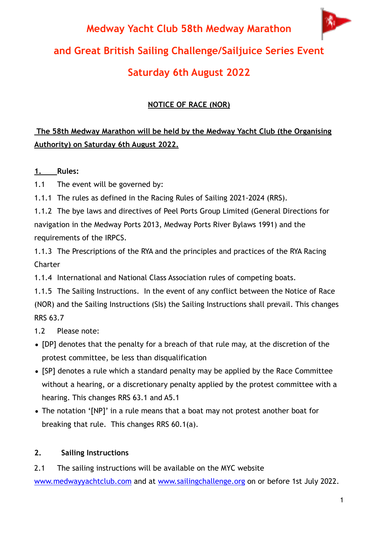# 编 **Medway Yacht Club 58th Medway Marathon and Great British Sailing Challenge/Sailjuice Series Event Saturday 6th August 2022**

## **NOTICE OF RACE (NOR)**

## **The 58th Medway Marathon will be held by the Medway Yacht Club (the Organising Authority) on Saturday 6th August 2022.**

## **1. Rules:**

1.1 The event will be governed by:

1.1.1 The rules as defined in the Racing Rules of Sailing 2021-2024 (RRS).

1.1.2 The bye laws and directives of Peel Ports Group Limited (General Directions for navigation in the Medway Ports 2013, Medway Ports River Bylaws 1991) and the requirements of the IRPCS.

1.1.3 The Prescriptions of the RYA and the principles and practices of the RYA Racing Charter

1.1.4 International and National Class Association rules of competing boats.

1.1.5 The Sailing Instructions. In the event of any conflict between the Notice of Race (NOR) and the Sailing Instructions (SIs) the Sailing Instructions shall prevail. This changes RRS 63.7

1.2 Please note:

- [DP] denotes that the penalty for a breach of that rule may, at the discretion of the protest committee, be less than disqualification
- [SP] denotes a rule which a standard penalty may be applied by the Race Committee without a hearing, or a discretionary penalty applied by the protest committee with a hearing. This changes RRS 63.1 and A5.1
- The notation '[NP]' in a rule means that a boat may not protest another boat for breaking that rule. This changes RRS 60.1(a).

## **2. Sailing Instructions**

2.1 The sailing instructions will be available on the MYC website [www.medwayyachtclub.com](http://www.medwayyachtclub.com) and at [www.sailingchallenge.org](http://www.sailingchallenge.org) on or before 1st July 2022.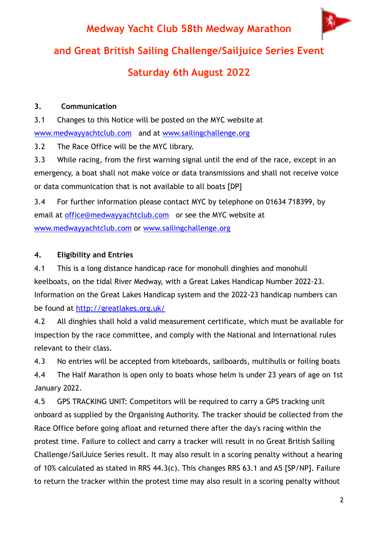编 **Medway Yacht Club 58th Medway Marathon and Great British Sailing Challenge/Sailjuice Series Event Saturday 6th August 2022**

### **3. Communication**

3.1 Changes to this Notice will be posted on the MYC website at [www.medwayyachtclub.com](http://www.medwayyachtclub.com) and at [www.sailingchallenge.org](http://www.sailingchallenge.org)

3.2 The Race Office will be the MYC library.

3.3 While racing, from the first warning signal until the end of the race, except in an emergency, a boat shall not make voice or data transmissions and shall not receive voice or data communication that is not available to all boats [DP]

3.4 For further information please contact MYC by telephone on 01634 718399, by email at [office@medwayyachtclub.com](mailto:office@medwayyachtclub.com) or see the MYC website at [www.medwayyachtclub.com](http://www.medwayyachtclub.com) or [www.sailingchallenge.org](http://www.sailingchallenge.org) 

## **4. Eligibility and Entries**

4.1 This is a long distance handicap race for monohull dinghies and monohull keelboats, on the tidal River Medway, with a Great Lakes Handicap Number 2022-23. Information on the Great Lakes Handicap system and the 2022-23 handicap numbers can be found at <http://greatlakes.org.uk/>

4.2 All dinghies shall hold a valid measurement certificate, which must be available for inspection by the race committee, and comply with the National and International rules relevant to their class.

4.3 No entries will be accepted from kiteboards, sailboards, multihulls or foiling boats

4.4 The Half Marathon is open only to boats whose helm is under 23 years of age on 1st January 2022.

4.5 GPS TRACKING UNIT: Competitors will be required to carry a GPS tracking unit onboard as supplied by the Organising Authority. The tracker should be collected from the Race Office before going afloat and returned there after the day's racing within the protest time. Failure to collect and carry a tracker will result in no Great British Sailing Challenge/SailJuice Series result. It may also result in a scoring penalty without a hearing of 10% calculated as stated in RRS 44.3(c). This changes RRS 63.1 and A5 [SP/NP]. Failure to return the tracker within the protest time may also result in a scoring penalty without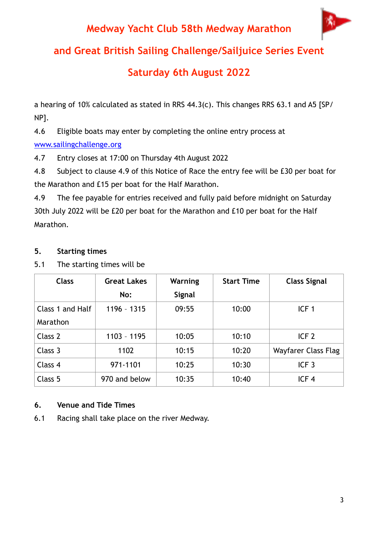## **Medway Yacht Club 58th Medway Marathon**



**and Great British Sailing Challenge/Sailjuice Series Event** 

## **Saturday 6th August 2022**

a hearing of 10% calculated as stated in RRS 44.3(c). This changes RRS 63.1 and A5 [SP/ NP].

4.6 Eligible boats may enter by completing the online entry process at

### [www.sailingchallenge.org](http://www.sailingchallenge.org)

4.7 Entry closes at 17:00 on Thursday 4th August 2022

4.8 Subject to clause 4.9 of this Notice of Race the entry fee will be £30 per boat for the Marathon and £15 per boat for the Half Marathon.

4.9 The fee payable for entries received and fully paid before midnight on Saturday 30th July 2022 will be £20 per boat for the Marathon and £10 per boat for the Half Marathon.

### **5. Starting times**

5.1 The starting times will be

| <b>Class</b>     | <b>Great Lakes</b> | Warning       | <b>Start Time</b> | <b>Class Signal</b> |
|------------------|--------------------|---------------|-------------------|---------------------|
|                  | No:                | <b>Signal</b> |                   |                     |
| Class 1 and Half | 1196 - 1315        | 09:55         | 10:00             | ICF <sub>1</sub>    |
| Marathon         |                    |               |                   |                     |
| Class 2          | $1103 - 1195$      | 10:05         | 10:10             | ICF <sub>2</sub>    |
| Class 3          | 1102               | 10:15         | 10:20             | Wayfarer Class Flag |
| Class 4          | 971-1101           | 10:25         | 10:30             | ICF <sub>3</sub>    |
| Class 5          | 970 and below      | 10:35         | 10:40             | ICF <sub>4</sub>    |

## **6. Venue and Tide Times**

6.1 Racing shall take place on the river Medway.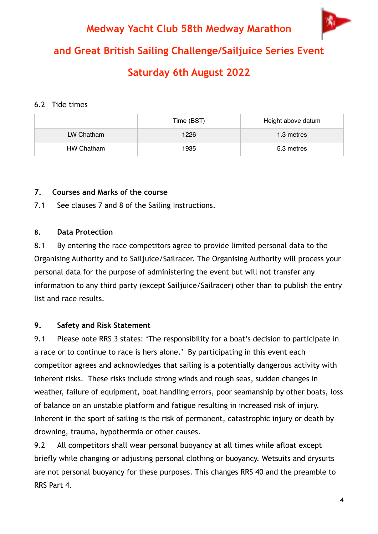**Medway Yacht Club 58th Medway Marathon and Great British Sailing Challenge/Sailjuice Series Event Saturday 6th August 2022**

#### 6.2 Tide times

|            | Time (BST) | Height above datum |
|------------|------------|--------------------|
| LW Chatham | 1226       | 1.3 metres         |
| HW Chatham | 1935       | 5.3 metres         |

#### **7. Courses and Marks of the course**

7.1 See clauses 7 and 8 of the Sailing Instructions.

#### **8. Data Protection**

8.1 By entering the race competitors agree to provide limited personal data to the Organising Authority and to Sailjuice/Sailracer. The Organising Authority will process your personal data for the purpose of administering the event but will not transfer any information to any third party (except Sailjuice/Sailracer) other than to publish the entry list and race results.

### **9. Safety and Risk Statement**

9.1 Please note RRS 3 states: 'The responsibility for a boat's decision to participate in a race or to continue to race is hers alone.' By participating in this event each competitor agrees and acknowledges that sailing is a potentially dangerous activity with inherent risks. These risks include strong winds and rough seas, sudden changes in weather, failure of equipment, boat handling errors, poor seamanship by other boats, loss of balance on an unstable platform and fatigue resulting in increased risk of injury. Inherent in the sport of sailing is the risk of permanent, catastrophic injury or death by drowning, trauma, hypothermia or other causes.

9.2 All competitors shall wear personal buoyancy at all times while afloat except briefly while changing or adjusting personal clothing or buoyancy. Wetsuits and drysuits are not personal buoyancy for these purposes. This changes RRS 40 and the preamble to RRS Part 4.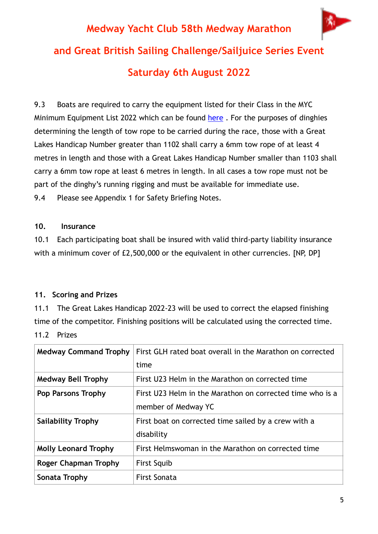# 编一 **Medway Yacht Club 58th Medway Marathon and Great British Sailing Challenge/Sailjuice Series Event Saturday 6th August 2022**

9.3 Boats are required to carry the equipment listed for their Class in the MYC Minimum Equipment List 2022 which can be found here. For the purposes of dinghies determining the length of tow rope to be carried during the race, those with a Great Lakes Handicap Number greater than 1102 shall carry a 6mm tow rope of at least 4 metres in length and those with a Great Lakes Handicap Number smaller than 1103 shall carry a 6mm tow rope at least 6 metres in length. In all cases a tow rope must not be part of the dinghy's running rigging and must be available for immediate use. 9.4 Please see Appendix 1 for Safety Briefing Notes.

#### **10. Insurance**

10.1 Each participating boat shall be insured with valid third-party liability insurance with a minimum cover of £2,500,000 or the equivalent in other currencies. [NP, DP]

### **11. Scoring and Prizes**

11.1 The Great Lakes Handicap 2022-23 will be used to correct the elapsed finishing time of the competitor. Finishing positions will be calculated using the corrected time. 11.2 Prizes

| <b>Medway Command Trophy</b> | First GLH rated boat overall in the Marathon on corrected                        |
|------------------------------|----------------------------------------------------------------------------------|
|                              | time                                                                             |
| <b>Medway Bell Trophy</b>    | First U23 Helm in the Marathon on corrected time                                 |
| Pop Parsons Trophy           | First U23 Helm in the Marathon on corrected time who is a<br>member of Medway YC |
| <b>Sailability Trophy</b>    | First boat on corrected time sailed by a crew with a<br>disability               |
| <b>Molly Leonard Trophy</b>  | First Helmswoman in the Marathon on corrected time                               |
| Roger Chapman Trophy         | <b>First Squib</b>                                                               |
| Sonata Trophy                | <b>First Sonata</b>                                                              |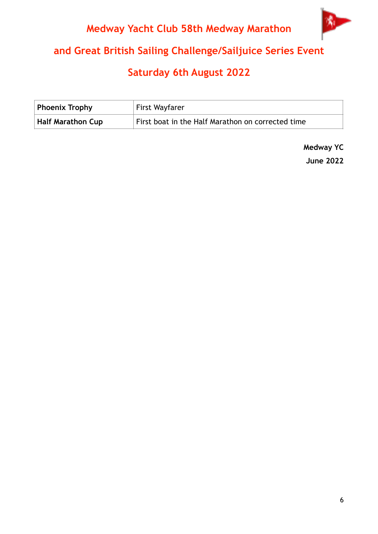## **Medway Yacht Club 58th Medway Marathon**



## **and Great British Sailing Challenge/Sailjuice Series Event**

## **Saturday 6th August 2022**

| Phoenix Trophy           | First Wayfarer                                    |
|--------------------------|---------------------------------------------------|
| <b>Half Marathon Cup</b> | First boat in the Half Marathon on corrected time |

**Medway YC June 2022**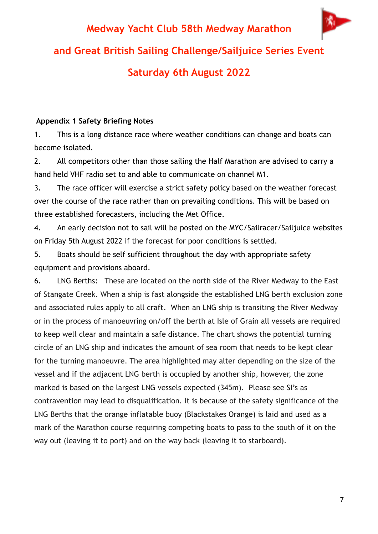

#### **Appendix 1 Safety Briefing Notes**

1. This is a long distance race where weather conditions can change and boats can become isolated.

2. All competitors other than those sailing the Half Marathon are advised to carry a hand held VHF radio set to and able to communicate on channel M1.

3. The race officer will exercise a strict safety policy based on the weather forecast over the course of the race rather than on prevailing conditions. This will be based on three established forecasters, including the Met Office.

4. An early decision not to sail will be posted on the MYC/Sailracer/Sailjuice websites on Friday 5th August 2022 if the forecast for poor conditions is settled.

5. Boats should be self sufficient throughout the day with appropriate safety equipment and provisions aboard.

6. LNG Berths: These are located on the north side of the River Medway to the East of Stangate Creek. When a ship is fast alongside the established LNG berth exclusion zone and associated rules apply to all craft. When an LNG ship is transiting the River Medway or in the process of manoeuvring on/off the berth at Isle of Grain all vessels are required to keep well clear and maintain a safe distance. The chart shows the potential turning circle of an LNG ship and indicates the amount of sea room that needs to be kept clear for the turning manoeuvre. The area highlighted may alter depending on the size of the vessel and if the adjacent LNG berth is occupied by another ship, however, the zone marked is based on the largest LNG vessels expected (345m). Please see SI's as contravention may lead to disqualification. It is because of the safety significance of the LNG Berths that the orange inflatable buoy (Blackstakes Orange) is laid and used as a mark of the Marathon course requiring competing boats to pass to the south of it on the way out (leaving it to port) and on the way back (leaving it to starboard).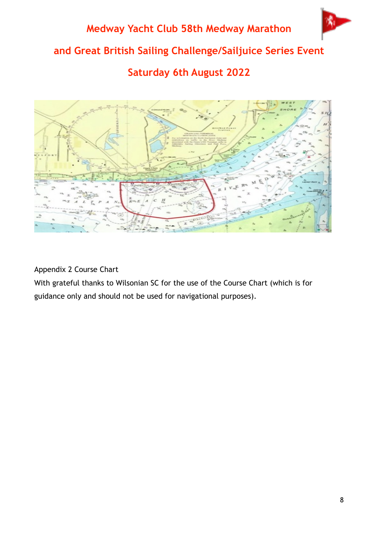



Appendix 2 Course Chart

With grateful thanks to Wilsonian SC for the use of the Course Chart (which is for guidance only and should not be used for navigational purposes).